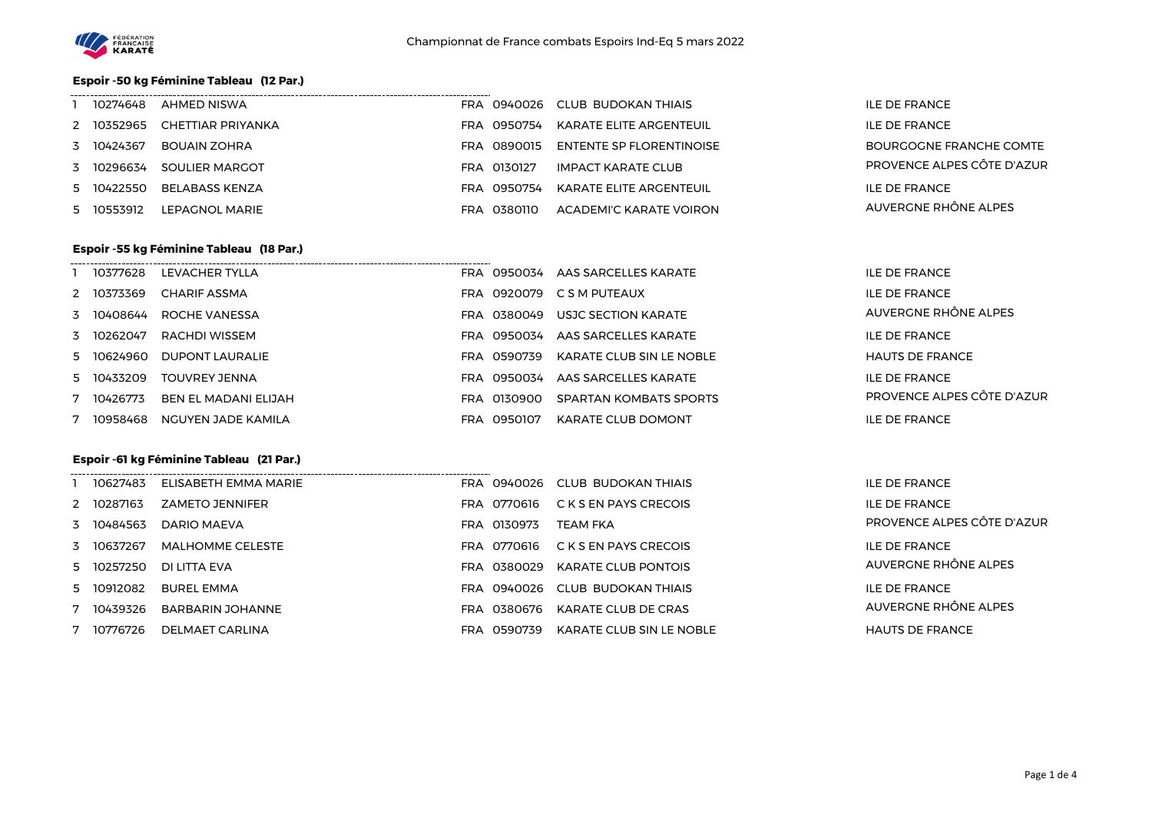

### **Espoir -50 kg Féminine Tableau (12 Par.)**

| 10274648   | AHMED NISWA       |                       | FRA 0940026 CLUB BUDOKAN THIAIS | <b>ILE DE FRANCE</b>       |
|------------|-------------------|-----------------------|---------------------------------|----------------------------|
| 2 10352965 | CHETTIAR PRIYANKA | .0950754<br>FRA       | KARATE ELITE ARGENTEUIL         | ILE DE FRANCE              |
| 3 10424367 | BOUAIN ZOHRA      | <b>FRA</b><br>0890015 | ENTENTE SP FLORENTINOISE        | BOURGOGNE FRANCHE COMTE    |
| 3 10296634 | SOULIER MARGOT    | FRA 0130127           | IMPACT KARATE CLUB              | PROVENCE ALPES CÔTE D'AZUR |
| 5 10422550 | BELABASS KENZA    | 0950754<br>FRA        | KARATE ELITE ARGENTEUIL         | ILE DE FRANCE              |
| 5 10553912 | LEPAGNOL MARIE    | 0380110<br>FRA        | ACADEMI'C KARATE VOIRON         | AUVERGNE RHÔNE ALPES       |

#### **Espoir -55 kg Féminine Tableau (18 Par.)**

| 10377628   | LEVACHER TYLLA       | FRA |           | 0950034 AAS SARCELLES KARATE  | <b>ILE DE FRANCE</b>       |
|------------|----------------------|-----|-----------|-------------------------------|----------------------------|
| 2 10373369 | <b>CHARIF ASSMA</b>  | FRA | 0920079   | C S M PUTEAUX                 | <b>ILE DE FRANCE</b>       |
| 3 10408644 | ROCHE VANESSA        | FRA | 0380049   | USJC SECTION KARATE           | AUVERGNE RHÔNE ALPES       |
| 3 10262047 | RACHDI WISSEM        | FRA | 0950034   | AAS SARCELLES KARATE          | <b>ILE DE FRANCE</b>       |
| 5 10624960 | DUPONT LAURALIE      | FRA | 0590739   | KARATE CLUB SIN LE NOBLE      | <b>HAUTS DE FRANCE</b>     |
| 5 10433209 | TOUVREY JENNA        | FRA | 0950034   | AAS SARCELLES KARATE          | <b>ILE DE FRANCE</b>       |
| 10426773   | BEN EL MADANI ELIJAH | FRA | 0130900   | <b>SPARTAN KOMBATS SPORTS</b> | PROVENCE ALPES CÔTE D'AZUR |
| 10958468   | NGUYEN JADE KAMILA   | FRA | - 0950107 | <b>KARATE CLUB DOMONT</b>     | <b>ILE DE FRANCE</b>       |

#### **Espoir -61 kg Féminine Tableau (21 Par.)**

| 10627483   | ELISABETH EMMA MARIE    | 0940026<br>FRA  | CLUB BUDOKAN THIAIS        | <b>ILE DE FRANCE</b>       |
|------------|-------------------------|-----------------|----------------------------|----------------------------|
| 2 10287163 | <b>ZAMETO JENNIFER</b>  | 0770616<br>FRA  | C K S EN PAYS CRECOIS      | <b>ILE DE FRANCE</b>       |
| 3 10484563 | DARIO MAEVA             | 0130973<br>FRA  | <b>TEAM FKA</b>            | PROVENCE ALPES CÔTE D'AZUR |
| 3 10637267 | <b>MALHOMME CELESTE</b> | 0770616<br>FRA  | C K S EN PAYS CRECOIS      | <b>ILE DE FRANCE</b>       |
| 5 10257250 | DI LITTA FVA            | 0380029<br>FRA  | <b>KARATE CLUB PONTOIS</b> | AUVERGNE RHÔNE ALPES       |
| 5 10912082 | <b>BUREL EMMA</b>       | FRA 0940026     | CLUB BUDOKAN THIAIS        | <b>ILE DE FRANCE</b>       |
| 7 10439326 | BARBARIN JOHANNE        | 0380676<br>FRA  | KARATE CLUB DE CRAS        | AUVERGNE RHÔNE ALPES       |
| 10776726   | DELMAET CARLINA         | 0590739<br>FRA. | KARATE CLUB SIN LE NOBLE   | <b>HAUTS DE FRANCE</b>     |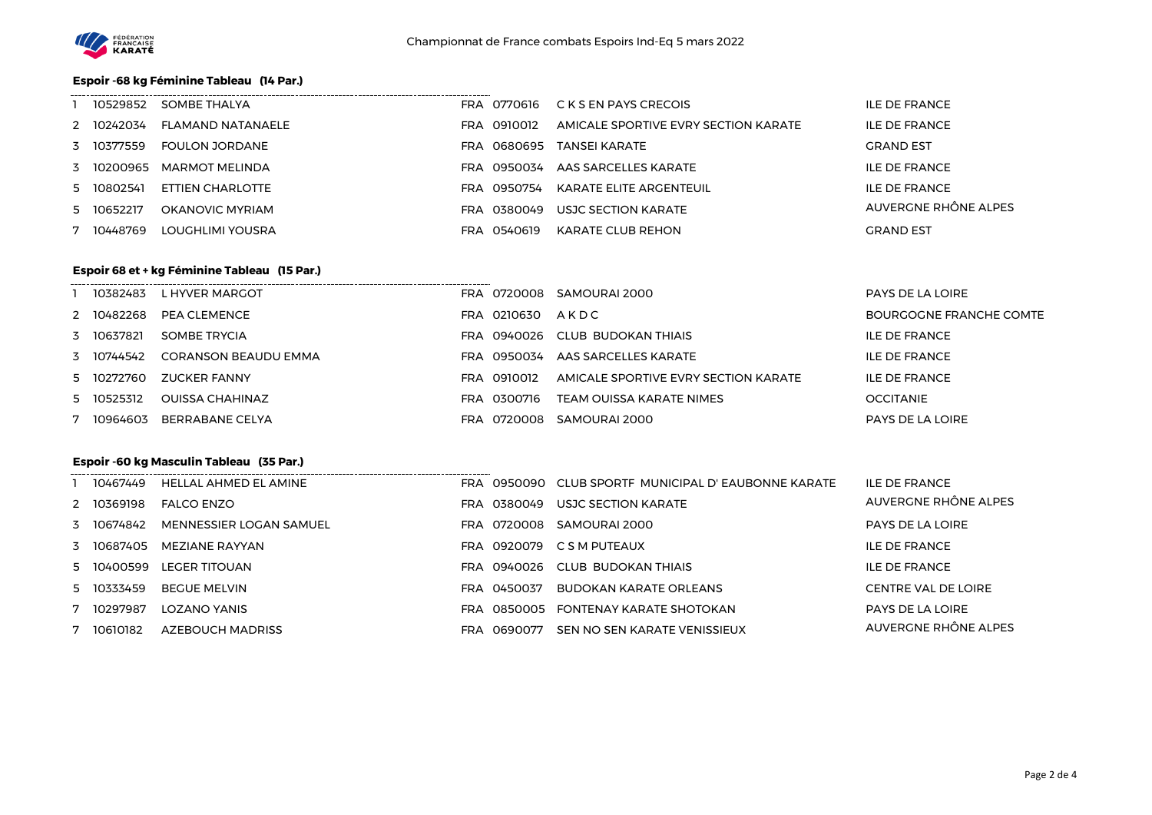

### **Espoir -68 kg Féminine Tableau (14 Par.)**

| 10529852   | SOMBE THALYA          |     | FRA 0770616 | C K S EN PAYS CRECOIS                | ILE DE FRANCE        |
|------------|-----------------------|-----|-------------|--------------------------------------|----------------------|
| 2 10242034 | FLAMAND NATANAELE     | FRA | 0910012     | AMICALE SPORTIVE EVRY SECTION KARATE | ILE DE FRANCE        |
| 3 10377559 | <b>FOULON JORDANE</b> | FRA | 0680695     | TANSFI KARATF                        | <b>GRAND EST</b>     |
| 3 10200965 | MARMOT MELINDA        | FRA | 0950034     | AAS SARCELLES KARATE                 | ILE DE FRANCE        |
| 5 10802541 | ETTIEN CHARLOTTE      | FRA | 0950754     | KARATE ELITE ARGENTEUIL              | <b>ILE DE FRANCE</b> |
| 5 10652217 | OKANOVIC MYRIAM       | FRA | 0380049     | USJC SECTION KARATE                  | AUVERGNE RHÔNE ALPES |
| 10448769   | LOUGHLIMI YOUSRA      | FRA | 0540619     | KARATE CLUB REHON                    | <b>GRAND EST</b>     |

#### **Espoir 68 et + kg Féminine Tableau (15 Par.)**

| 10382483   | L HYVER MARGOT              |     | FRA 0720008 | SAMOURAI 2000                        | PAYS DE LA LOIRE        |
|------------|-----------------------------|-----|-------------|--------------------------------------|-------------------------|
| 2 10482268 | PEA CLEMENCE                |     | FRA 0210630 | AKDC                                 | BOURGOGNE FRANCHE COMTE |
| 3 10637821 | SOMBE TRYCIA                |     |             | FRA 0940026 CLUB BUDOKAN THIAIS      | ILE DE FRANCE           |
| 3 10744542 | <b>CORANSON BEAUDU EMMA</b> |     | FRA 0950034 | AAS SARCELLES KARATE                 | <b>ILE DE FRANCE</b>    |
| 5 10272760 | <b>ZUCKER FANNY</b>         | FRA | 0910012     | AMICALE SPORTIVE EVRY SECTION KARATE | ILE DE FRANCE           |
| 5 10525312 | <b>OUISSA CHAHINAZ</b>      |     | FRA 0300716 | TEAM OUISSA KARATE NIMES             | <b>OCCITANIE</b>        |
| 10964603   | BERRABANE CELYA             |     | 0720008     | SAMOURAI 2000                        | PAYS DE LA LOIRE        |

## **Espoir -60 kg Masculin Tableau (35 Par.)**

| 10467449   | HELLAL AHMED EL AMINE   |     |             | FRA 0950090 CLUB SPORTF MUNICIPAL D'EAUBONNE KARATE | <b>ILE DE FRANCE</b>       |
|------------|-------------------------|-----|-------------|-----------------------------------------------------|----------------------------|
| 2 10369198 | <b>FALCO ENZO</b>       |     |             | FRA 0380049 USJC SECTION KARATE                     | AUVERGNE RHÔNE ALPES       |
| 3 10674842 | MENNESSIER LOGAN SAMUEL |     |             | FRA 0720008 SAMOURAI 2000                           | PAYS DE LA LOIRE           |
| 3 10687405 | MEZIANE RAYYAN          |     |             | FRA 0920079 CSM PUTEAUX                             | <b>ILE DE FRANCE</b>       |
| 5 10400599 | LEGER TITOUAN           |     |             | FRA 0940026 CLUB BUDOKAN THIAIS                     | <b>ILE DE FRANCE</b>       |
| 5 10333459 | BEGUE MELVIN            |     | FRA 0450037 | BUDOKAN KARATE ORLEANS                              | <b>CENTRE VAL DE LOIRE</b> |
| 7 10297987 | <b>LOZANO YANIS</b>     |     |             | FRA 0850005 FONTENAY KARATE SHOTOKAN                | PAYS DE LA LOIRE           |
| 7 10610182 | <b>AZEBOUCH MADRISS</b> | FRA | 0690077     | SEN NO SEN KARATE VENISSIEUX                        | AUVERGNE RHÔNE ALPES       |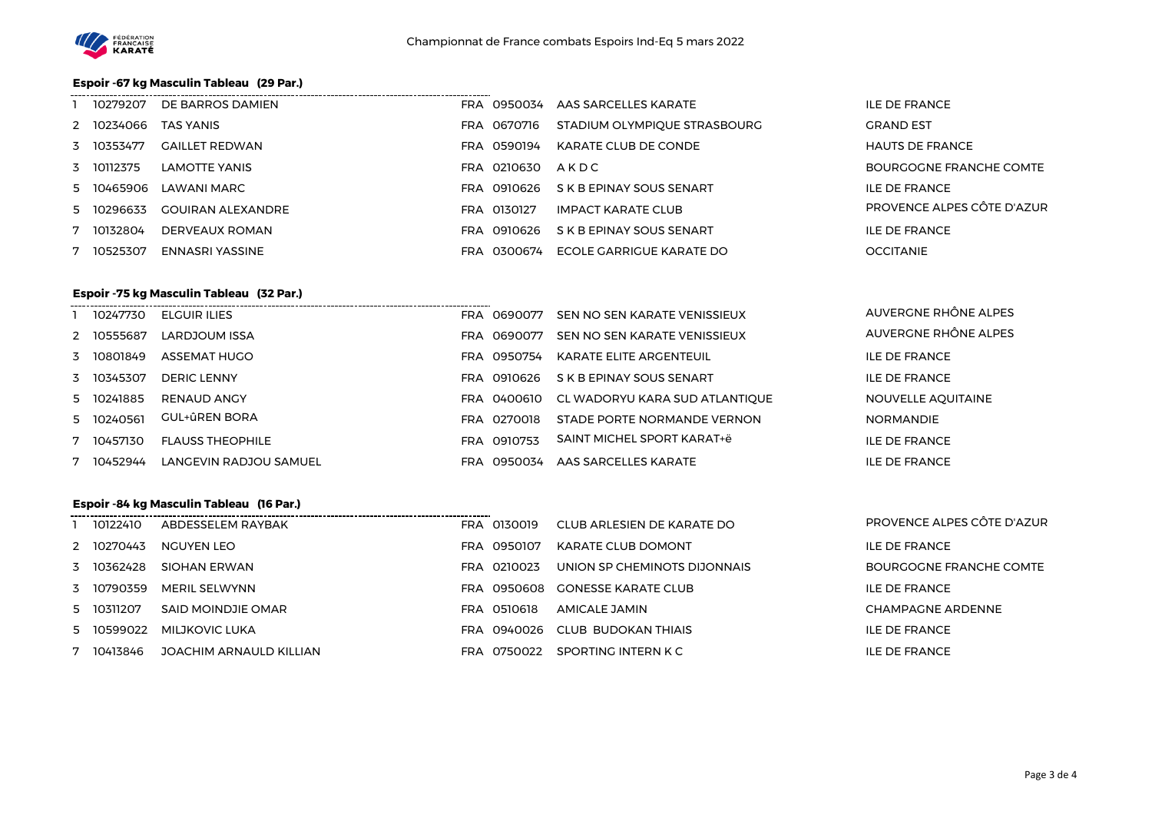

# **Espoir -67 kg Masculin Tableau (29 Par.)**

| 10279207   | DE BARROS DAMIEN         |     |             | FRA 0950034 AAS SARCELLES KARATE | <b>ILE DE FRANCE</b>       |
|------------|--------------------------|-----|-------------|----------------------------------|----------------------------|
| 2 10234066 | <b>TAS YANIS</b>         |     | FRA 0670716 | STADIUM OLYMPIQUE STRASBOURG     | <b>GRAND EST</b>           |
| 3 10353477 | <b>GAILLET REDWAN</b>    | FRA | 0590194     | KARATE CLUB DE CONDE             | <b>HAUTS DE FRANCE</b>     |
| 3 10112375 | LAMOTTE YANIS            |     | FRA 0210630 | AKDC                             | BOURGOGNE FRANCHE COMTE    |
| 5 10465906 | LAWANI MARC              |     | FRA 0910626 | S K B EPINAY SOUS SENART         | <b>ILE DE FRANCE</b>       |
| 5 10296633 | <b>GOUIRAN ALEXANDRE</b> |     | FRA 0130127 | <b>IMPACT KARATE CLUB</b>        | PROVENCE ALPES CÔTE D'AZUR |
| 10132804   | DERVEAUX ROMAN           |     | FRA 0910626 | S K B EPINAY SOUS SENART         | <b>ILE DE FRANCE</b>       |
| 10525307   | ENNASRI YASSINE          | FRA | 0300674     | ECOLE GARRIGUE KARATE DO         | <b>OCCITANIE</b>           |

### **Espoir -75 kg Masculin Tableau (32 Par.)**

| 10247730   | ELGUIR ILIES            | FRA 0690077    | SEN NO SEN KARATE VENISSIEUX               | AUVERGNE RHONE ALPES |
|------------|-------------------------|----------------|--------------------------------------------|----------------------|
| 2 10555687 | LARDJOUM ISSA           | FRA 0690077    | SEN NO SEN KARATE VENISSIEUX               | AUVERGNE RHÔNE ALPES |
| 3 10801849 | ASSEMAT HUGO            | FRA 0950754    | KARATE ELITE ARGENTEUIL                    | <b>ILE DE FRANCE</b> |
| 3 10345307 | DERIC LENNY             | FRA 0910626    | S K B EPINAY SOUS SENART                   | <b>ILE DE FRANCE</b> |
| 5 10241885 | RENAUD ANGY             |                | FRA 0400610 CL WADORYU KARA SUD ATLANTIQUE | NOUVELLE AQUITAINE   |
| 5 10240561 | <b>GUL+ûREN BORA</b>    | FRA 0270018    | STADE PORTE NORMANDE VERNON                | <b>NORMANDIE</b>     |
| 7 10457130 | <b>FLAUSS THEOPHILE</b> | FRA 0910753    | SAINT MICHEL SPORT KARAT+ë                 | <b>ILE DE FRANCE</b> |
| 10452944   | LANGEVIN RADJOU SAMUEL  | 0950034<br>FRA | AAS SARCELLES KARATE                       | <b>ILE DE FRANCE</b> |

# **Espoir -84 kg Masculin Tableau (16 Par.)**

| 10122410   | ABDESSELEM RAYBAK       | FRA 0130019 | CLUB ARLESIEN DE KARATE DO   | PROVENCE ALPES CÔTE D'AZUR |
|------------|-------------------------|-------------|------------------------------|----------------------------|
| 2 10270443 | NGUYEN LEO              | FRA 0950107 | KARATE CLUB DOMONT           | ILE DE FRANCE              |
| 3 10362428 | SIOHAN ERWAN            | FRA 0210023 | UNION SP CHEMINOTS DIJONNAIS | BOURGOGNE FRANCHE COMTE    |
| 3 10790359 | MERIL SELWYNN           | FRA 0950608 | GONESSE KARATE CLUB          | <b>ILE DE FRANCE</b>       |
| 5 10311207 | SAID MOINDJIE OMAR      | FRA 0510618 | AMICALE JAMIN                | <b>CHAMPAGNE ARDENNE</b>   |
| 5 10599022 | MILJKOVIC LUKA          | FRA 0940026 | CLUB BUDOKAN THIAIS          | <b>ILE DE FRANCE</b>       |
| 10413846   | JOACHIM ARNAULD KILLIAN | FRA 0750022 | SPORTING INTERN K C          | <b>ILE DE FRANCE</b>       |